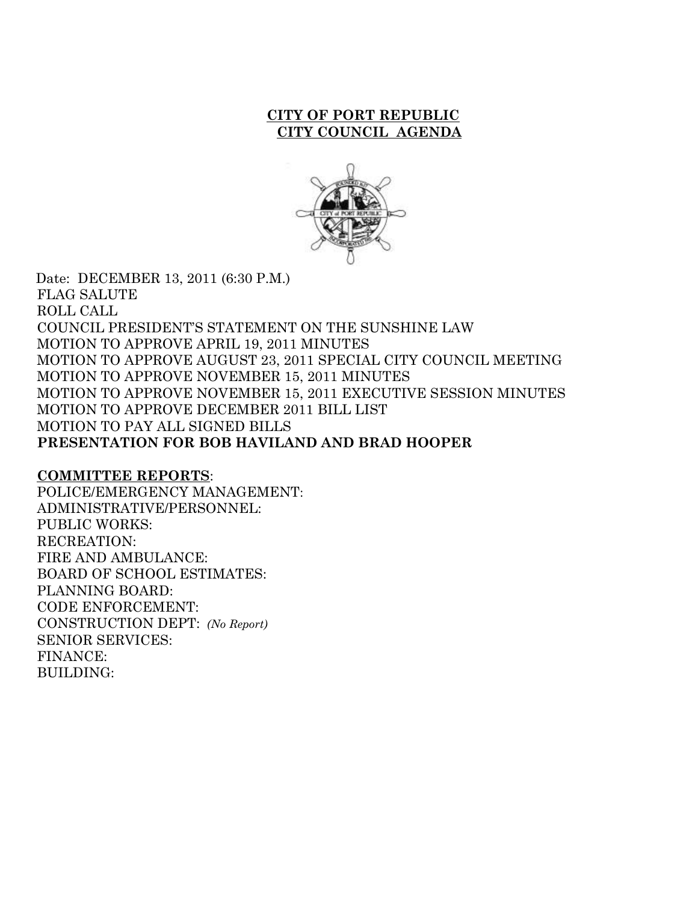#### **CITY OF PORT REPUBLIC CITY COUNCIL AGENDA**



 Date: DECEMBER 13, 2011 (6:30 P.M.) FLAG SALUTE ROLL CALL COUNCIL PRESIDENT'S STATEMENT ON THE SUNSHINE LAW MOTION TO APPROVE APRIL 19, 2011 MINUTES MOTION TO APPROVE AUGUST 23, 2011 SPECIAL CITY COUNCIL MEETING MOTION TO APPROVE NOVEMBER 15, 2011 MINUTES MOTION TO APPROVE NOVEMBER 15, 2011 EXECUTIVE SESSION MINUTES MOTION TO APPROVE DECEMBER 2011 BILL LIST MOTION TO PAY ALL SIGNED BILLS **PRESENTATION FOR BOB HAVILAND AND BRAD HOOPER**

#### **COMMITTEE REPORTS**:

POLICE/EMERGENCY MANAGEMENT: ADMINISTRATIVE/PERSONNEL: PUBLIC WORKS: RECREATION: FIRE AND AMBULANCE: BOARD OF SCHOOL ESTIMATES: PLANNING BOARD: CODE ENFORCEMENT: CONSTRUCTION DEPT: *(No Report)* SENIOR SERVICES: FINANCE: BUILDING: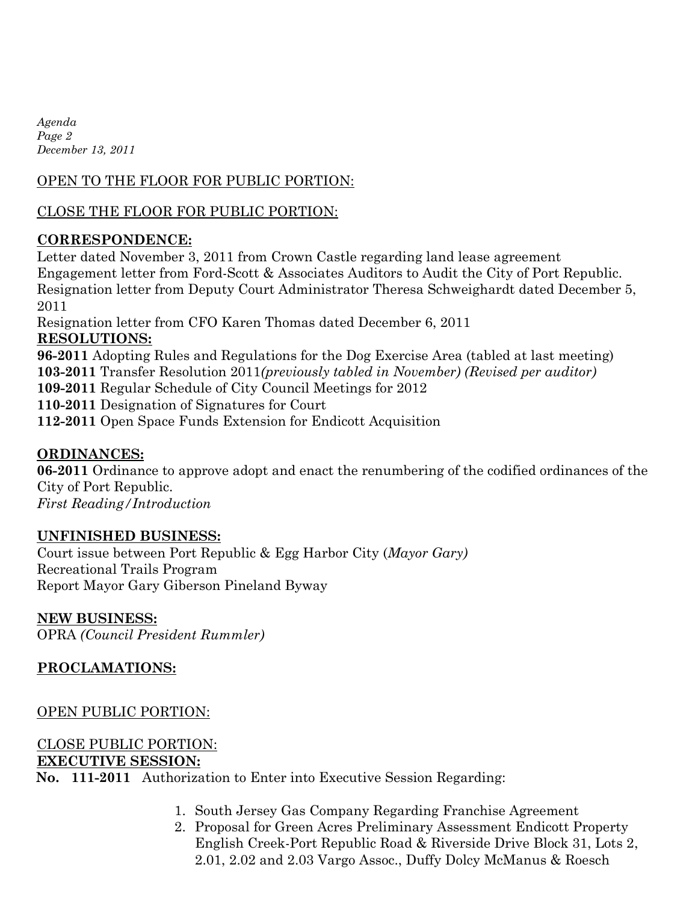*Agenda Page 2 December 13, 2011*

# OPEN TO THE FLOOR FOR PUBLIC PORTION:

# CLOSE THE FLOOR FOR PUBLIC PORTION:

### **CORRESPONDENCE:**

Letter dated November 3, 2011 from Crown Castle regarding land lease agreement Engagement letter from Ford-Scott & Associates Auditors to Audit the City of Port Republic. Resignation letter from Deputy Court Administrator Theresa Schweighardt dated December 5, 2011

Resignation letter from CFO Karen Thomas dated December 6, 2011 **RESOLUTIONS: 96-2011** Adopting Rules and Regulations for the Dog Exercise Area (tabled at last meeting) **103-2011** Transfer Resolution 2011*(previously tabled in November) (Revised per auditor)* **109-2011** Regular Schedule of City Council Meetings for 2012 **110-2011** Designation of Signatures for Court **112-2011** Open Space Funds Extension for Endicott Acquisition

### **ORDINANCES:**

**06-2011** Ordinance to approve adopt and enact the renumbering of the codified ordinances of the City of Port Republic. *First Reading/Introduction*

#### **UNFINISHED BUSINESS:**

Court issue between Port Republic & Egg Harbor City (*Mayor Gary)* Recreational Trails Program Report Mayor Gary Giberson Pineland Byway

#### **NEW BUSINESS:**

OPRA *(Council President Rummler)*

### **PROCLAMATIONS:**

OPEN PUBLIC PORTION:

# CLOSE PUBLIC PORTION: **EXECUTIVE SESSION:**

**No. 111-2011** Authorization to Enter into Executive Session Regarding:

- 1. South Jersey Gas Company Regarding Franchise Agreement
- 2. Proposal for Green Acres Preliminary Assessment Endicott Property English Creek-Port Republic Road & Riverside Drive Block 31, Lots 2, 2.01, 2.02 and 2.03 Vargo Assoc., Duffy Dolcy McManus & Roesch